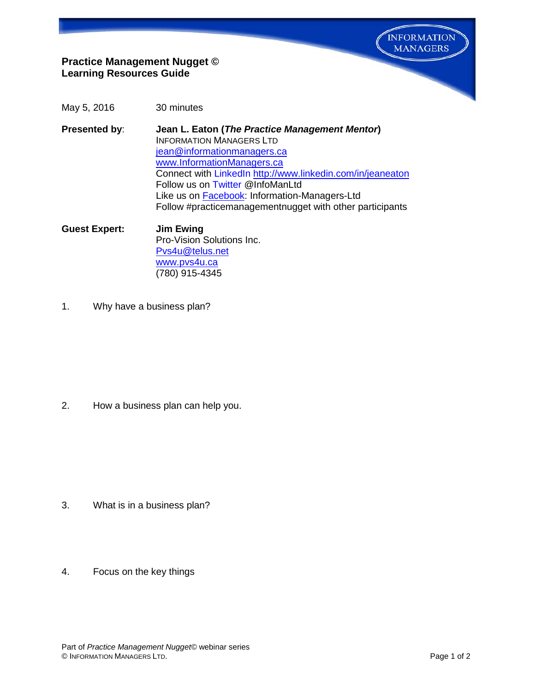**INFORMATION MANAGERS** 

# **Practice Management Nugget © Learning Resources Guide**

- May 5, 2016 30 minutes
- **Presented by**: **Jean L. Eaton (***The Practice Management Mentor***)** INFORMATION MANAGERS LTD [jean@informationmanagers.ca](mailto:jean@informationmanagers.ca) [www.InformationManagers.ca](http://www.informationmanagers.ca/) Connect with [LinkedIn](http://www.linkedin.com/in/jeaneaton) <http://www.linkedin.com/in/jeaneaton> Follow us on [Twitter](https://twitter.com/InfoManLtd) @InfoManLtd Like us on **Facebook:** Information-Managers-Ltd Follow #practicemanagementnugget with other participants
- **Guest Expert: Jim Ewing** Pro-Vision Solutions Inc. [Pvs4u@telus.net](mailto:Pvs4u@telus.net?subject=Send%20me%20my%20Business%20Plan%20Outline) [www.pvs4u.ca](http://www.pvs4u.ca/) (780) 915-4345
- 1. Why have a business plan?

2. How a business plan can help you.

- 3. What is in a business plan?
- 4. Focus on the key things